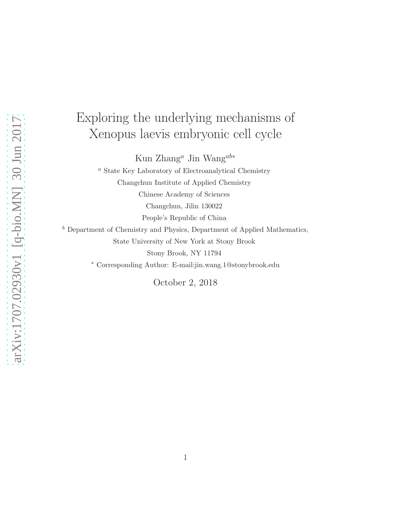# Exploring the underlying mechanisms of Xenopus laevis embryonic cell cycle

Kun Zhang<sup>a</sup> Jin Wang<sup>ab∗</sup>

<sup>a</sup> State Key Laboratory of Electroanalytical Chemistry Changchun Institute of Applied Chemistry Chinese Academy of Sciences Changchun, Jilin 130022 People's Republic of China

 $<sup>b</sup>$  Department of Chemistry and Physics, Department of Applied Mathematics,</sup> State University of New York at Stony Brook Stony Brook, NY 11794

<sup>∗</sup> Corresponding Author: E-mail:jin.wang.1@stonybrook.edu

October 2, 2018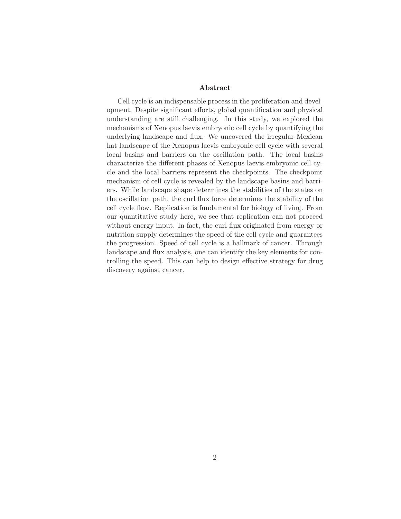#### Abstract

Cell cycle is an indispensable process in the proliferation and development. Despite significant efforts, global quantification and physical understanding are still challenging. In this study, we explored the mechanisms of Xenopus laevis embryonic cell cycle by quantifying the underlying landscape and flux. We uncovered the irregular Mexican hat landscape of the Xenopus laevis embryonic cell cycle with several local basins and barriers on the oscillation path. The local basins characterize the different phases of Xenopus laevis embryonic cell cycle and the local barriers represent the checkpoints. The checkpoint mechanism of cell cycle is revealed by the landscape basins and barriers. While landscape shape determines the stabilities of the states on the oscillation path, the curl flux force determines the stability of the cell cycle flow. Replication is fundamental for biology of living. From our quantitative study here, we see that replication can not proceed without energy input. In fact, the curl flux originated from energy or nutrition supply determines the speed of the cell cycle and guarantees the progression. Speed of cell cycle is a hallmark of cancer. Through landscape and flux analysis, one can identify the key elements for controlling the speed. This can help to design effective strategy for drug discovery against cancer.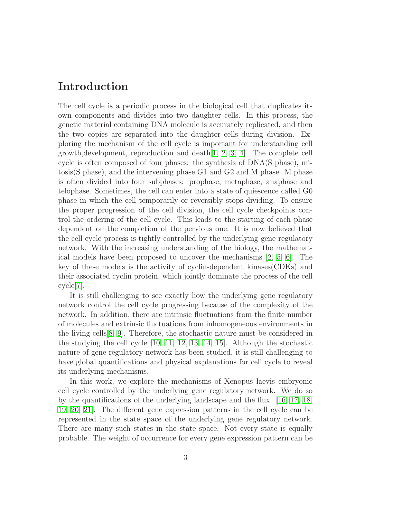# Introduction

The cell cycle is a periodic process in the biological cell that duplicates its own components and divides into two daughter cells. In this process, the genetic material containing DNA molecule is accurately replicated, and then the two copies are separated into the daughter cells during division. Exploring the mechanism of the cell cycle is important for understanding cell growth,development, reproduction and death[\[1,](#page-20-0) [2,](#page-20-1) [3,](#page-20-2) [4\]](#page-20-3). The complete cell cycle is often composed of four phases: the synthesis of DNA(S phase), mitosis(S phase), and the intervening phase G1 and G2 and M phase. M phase is often divided into four subphases: prophase, metaphase, anaphase and telophase. Sometimes, the cell can enter into a state of quiescence called G0 phase in which the cell temporarily or reversibly stops dividing. To ensure the proper progression of the cell division, the cell cycle checkpoints control the ordering of the cell cycle. This leads to the starting of each phase dependent on the completion of the pervious one. It is now believed that the cell cycle process is tightly controlled by the underlying gene regulatory network. With the increasing understanding of the biology, the mathematical models have been proposed to uncover the mechanisms [\[2,](#page-20-1) [5,](#page-20-4) [6\]](#page-20-5). The key of these models is the activity of cyclin-dependent kinases(CDKs) and their associated cyclin protein, which jointly dominate the process of the cell cycle[\[7\]](#page-20-6).

It is still challenging to see exactly how the underlying gene regulatory network control the cell cycle progressing because of the complexity of the network. In addition, there are intrinsic fluctuations from the finite number of molecules and extrinsic fluctuations from inhomogeneous environments in the living cells[\[8,](#page-20-7) [9\]](#page-20-8). Therefore, the stochastic nature must be considered in the studying the cell cycle [\[10,](#page-20-9) [11,](#page-20-10) [12,](#page-21-0) [13,](#page-21-1) [14,](#page-21-2) [15\]](#page-21-3). Although the stochastic nature of gene regulatory network has been studied, it is still challenging to have global quantifications and physical explanations for cell cycle to reveal its underlying mechanisms.

In this work, we explore the mechanisms of Xenopus laevis embryonic cell cycle controlled by the underlying gene regulatory network. We do so by the quantifications of the underlying landscape and the flux. [\[16,](#page-21-4) [17,](#page-21-5) [18,](#page-21-6) [19,](#page-21-7) [20,](#page-21-8) [21\]](#page-21-9). The different gene expression patterns in the cell cycle can be represented in the state space of the underlying gene regulatory network. There are many such states in the state space. Not every state is equally probable. The weight of occurrence for every gene expression pattern can be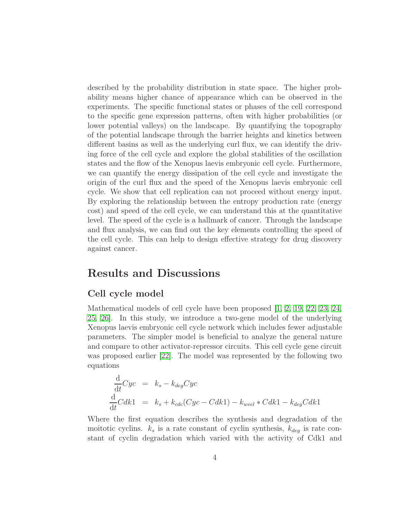described by the probability distribution in state space. The higher probability means higher chance of appearance which can be observed in the experiments. The specific functional states or phases of the cell correspond to the specific gene expression patterns, often with higher probabilities (or lower potential valleys) on the landscape. By quantifying the topography of the potential landscape through the barrier heights and kinetics between different basins as well as the underlying curl flux, we can identify the driving force of the cell cycle and explore the global stabilities of the oscillation states and the flow of the Xenopus laevis embryonic cell cycle. Furthermore, we can quantify the energy dissipation of the cell cycle and investigate the origin of the curl flux and the speed of the Xenopus laevis embryonic cell cycle. We show that cell replication can not proceed without energy input. By exploring the relationship between the entropy production rate (energy cost) and speed of the cell cycle, we can understand this at the quantitative level. The speed of the cycle is a hallmark of cancer. Through the landscape and flux analysis, we can find out the key elements controlling the speed of the cell cycle. This can help to design effective strategy for drug discovery against cancer.

#### Results and Discussions

#### Cell cycle model

Mathematical models of cell cycle have been proposed [\[1,](#page-20-0) [2,](#page-20-1) [19,](#page-21-7) [22,](#page-22-0) [23,](#page-22-1) [24,](#page-22-2) [25,](#page-22-3) [26\]](#page-22-4). In this study, we introduce a two-gene model of the underlying Xenopus laevis embryonic cell cycle network which includes fewer adjustable parameters. The simpler model is beneficial to analyze the general nature and compare to other activator-repressor circuits. This cell cycle gene circuit was proposed earlier [\[22\]](#page-22-0). The model was represented by the following two equations

$$
\frac{d}{dt}Cyc = k_s - k_{deg}Cyc
$$
\n
$$
\frac{d}{dt}Cdk1 = k_s + k_{cdc}(Cyc - Cdk1) - k_{weel} * Cdk1 - k_{deg}Cdk1
$$

Where the first equation describes the synthesis and degradation of the moitotic cyclins.  $k_s$  is a rate constant of cyclin synthesis,  $k_{deq}$  is rate constant of cyclin degradation which varied with the activity of Cdk1 and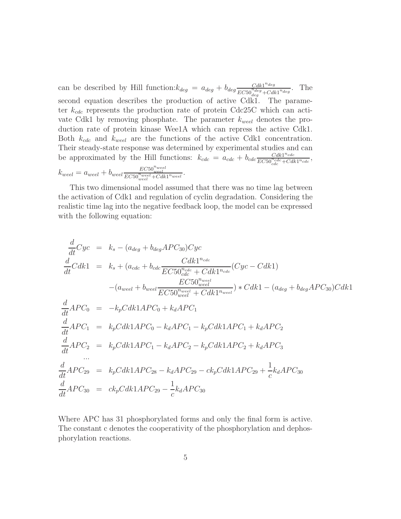can be described by Hill function:  $k_{deg} = a_{deg} + b_{deg} \frac{C d k_1^{n_{deg}}}{C d k_1^{n_{deg}} + C d k_2^{n_{deg}}}$  $\frac{Cdk1^{n}deg}{EC50^{n}deg +Cdk1^{n}deg}$ . The second equation describes the production of active Cdk1. The parameter  $k_{cdc}$  represents the production rate of protein Cdc25C which can activate Cdk1 by removing phosphate. The parameter  $k_{well}$  denotes the production rate of protein kinase Wee1A which can repress the active Cdk1. Both  $k_{cde}$  and  $k_{weel}$  are the functions of the active Cdk1 concentration. Their steady-state response was determined by experimental studies and can be approximated by the Hill functions:  $k_{cdc} = a_{cdc} + b_{cdc} \frac{Cdk1^{n_{cdc}}}{EC50^{n_{cdc}}_{cdc} + Cdk1^{n_{cdc}}},$  $k_{weel} = a_{weel} + b_{weel} \frac{EC50_{weel}^{n_{weel}}}{EC50_{weel}^{n_{weel}} + Cdk1_{weel}}.$ 

This two dimensional model assumed that there was no time lag between the activation of Cdk1 and regulation of cyclin degradation. Considering the realistic time lag into the negative feedback loop, the model can be expressed with the following equation:

$$
\frac{d}{dt}Cyc = k_s - (a_{deg} + b_{deg}APC_{30})Cyc
$$
\n
$$
\frac{d}{dt}Cdk1 = k_s + (a_{cdc} + b_{cdc} \frac{Cdk1^{n_{cdc}}}{EC50^{n_{cdc}} + Cdk1^{n_{cdc}}}(Cyc - Cdk1)
$$
\n
$$
-(a_{weel} + b_{weel} \frac{EC50^{n_{weel}}}{EC50^{n_{weel}} + Cdk1^{n_{weel}}}) * Cdk1 - (a_{deg} + b_{deg}APC_{30})Cdk1
$$
\n
$$
\frac{d}{dt}APC_0 = -k_pCdk1APC_0 + k_dAPC_1
$$
\n
$$
\frac{d}{dt}APC_1 = k_pCdk1APC_0 - k_dAPC_1 - k_pCdk1APC_1 + k_dAPC_2
$$
\n
$$
\frac{d}{dt}APC_2 = k_pCdk1APC_1 - k_dAPC_2 - k_pCdk1APC_2 + k_dAPC_3
$$
\n...\n
$$
\frac{d}{dt}APC_{29} = k_pCdk1APC_{28} - k_dAPC_{29} - c_kpCdk1APC_{29} + \frac{1}{c}k_dAPC_{30}
$$
\n
$$
\frac{d}{dt}APC_{30} = c k_pCdk1APC_{29} - \frac{1}{c}k_dAPC_{30}
$$

Where APC has 31 phosphorylated forms and only the final form is active. The constant c denotes the cooperativity of the phosphorylation and dephosphorylation reactions.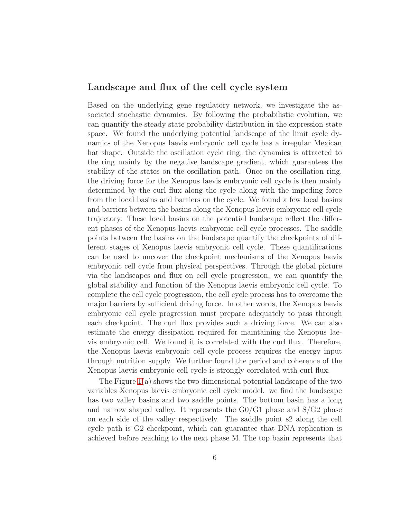#### Landscape and flux of the cell cycle system

Based on the underlying gene regulatory network, we investigate the associated stochastic dynamics. By following the probabilistic evolution, we can quantify the steady state probability distribution in the expression state space. We found the underlying potential landscape of the limit cycle dynamics of the Xenopus laevis embryonic cell cycle has a irregular Mexican hat shape. Outside the oscillation cycle ring, the dynamics is attracted to the ring mainly by the negative landscape gradient, which guarantees the stability of the states on the oscillation path. Once on the oscillation ring, the driving force for the Xenopus laevis embryonic cell cycle is then mainly determined by the curl flux along the cycle along with the impeding force from the local basins and barriers on the cycle. We found a few local basins and barriers between the basins along the Xenopus laevis embryonic cell cycle trajectory. These local basins on the potential landscape reflect the different phases of the Xenopus laevis embryonic cell cycle processes. The saddle points between the basins on the landscape quantify the checkpoints of different stages of Xenopus laevis embryonic cell cycle. These quantifications can be used to uncover the checkpoint mechanisms of the Xenopus laevis embryonic cell cycle from physical perspectives. Through the global picture via the landscapes and flux on cell cycle progression, we can quantify the global stability and function of the Xenopus laevis embryonic cell cycle. To complete the cell cycle progression, the cell cycle process has to overcome the major barriers by sufficient driving force. In other words, the Xenopus laevis embryonic cell cycle progression must prepare adequately to pass through each checkpoint. The curl flux provides such a driving force. We can also estimate the energy dissipation required for maintaining the Xenopus laevis embryonic cell. We found it is correlated with the curl flux. Therefore, the Xenopus laevis embryonic cell cycle process requires the energy input through nutrition supply. We further found the period and coherence of the Xenopus laevis embryonic cell cycle is strongly correlated with curl flux.

The Figure [1\(](#page-6-0)a) shows the two dimensional potential landscape of the two variables Xenopus laevis embryonic cell cycle model. we find the landscape has two valley basins and two saddle points. The bottom basin has a long and narrow shaped valley. It represents the  $G_0/G_1$  phase and  $S/G_2$  phase on each side of the valley respectively. The saddle point s2 along the cell cycle path is G2 checkpoint, which can guarantee that DNA replication is achieved before reaching to the next phase M. The top basin represents that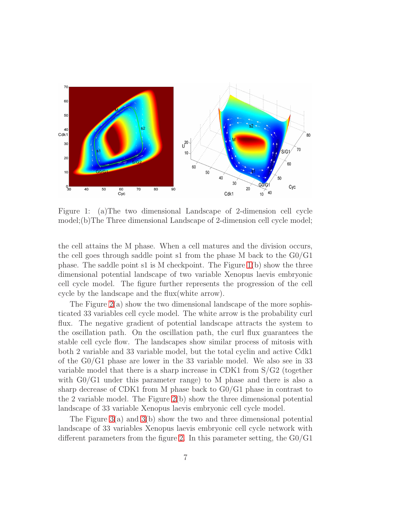

<span id="page-6-0"></span>Figure 1: (a)The two dimensional Landscape of 2-dimension cell cycle model;(b)The Three dimensional Landscape of 2-dimension cell cycle model;

the cell attains the M phase. When a cell matures and the division occurs, the cell goes through saddle point s1 from the phase M back to the G0/G1 phase. The saddle point s1 is M checkpoint. The Figure [1\(](#page-6-0)b) show the three dimensional potential landscape of two variable Xenopus laevis embryonic cell cycle model. The figure further represents the progression of the cell cycle by the landscape and the flux(white arrow).

The Figure  $2(a)$  show the two dimensional landscape of the more sophisticated 33 variables cell cycle model. The white arrow is the probability curl flux. The negative gradient of potential landscape attracts the system to the oscillation path. On the oscillation path, the curl flux guarantees the stable cell cycle flow. The landscapes show similar process of mitosis with both 2 variable and 33 variable model, but the total cyclin and active Cdk1 of the G0/G1 phase are lower in the 33 variable model. We also see in 33 variable model that there is a sharp increase in CDK1 from S/G2 (together with G0/G1 under this parameter range) to M phase and there is also a sharp decrease of CDK1 from M phase back to G0/G1 phase in contrast to the 2 variable model. The Figure [2\(](#page-7-0)b) show the three dimensional potential landscape of 33 variable Xenopus laevis embryonic cell cycle model.

The Figure [3\(](#page-7-1)a) and [3\(](#page-7-1)b) show the two and three dimensional potential landscape of 33 variables Xenopus laevis embryonic cell cycle network with different parameters from the figure [2.](#page-7-0) In this parameter setting, the G0/G1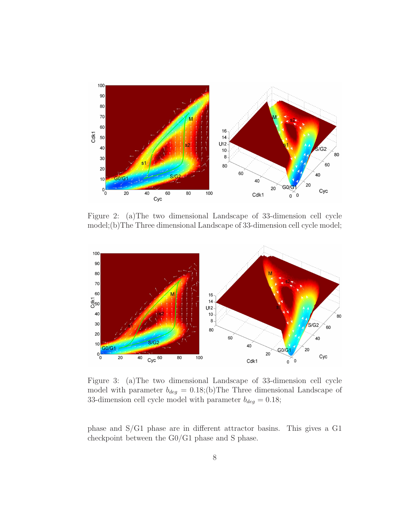

<span id="page-7-0"></span>Figure 2: (a)The two dimensional Landscape of 33-dimension cell cycle model;(b)The Three dimensional Landscape of 33-dimension cell cycle model;



<span id="page-7-1"></span>Figure 3: (a)The two dimensional Landscape of 33-dimension cell cycle model with parameter  $b_{deg} = 0.18$ ;(b)The Three dimensional Landscape of 33-dimension cell cycle model with parameter  $b_{deg} = 0.18$ ;

phase and S/G1 phase are in different attractor basins. This gives a G1 checkpoint between the G0/G1 phase and S phase.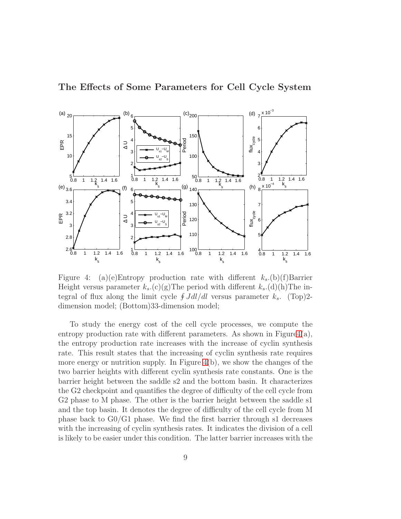

<span id="page-8-0"></span>Figure 4: (a)(e)Entropy production rate with different  $k_s(p)(f)$ Barrier Height versus parameter  $k_s$ .(c)(g)The period with different  $k_s$ .(d)(h)The integral of flux along the limit cycle  $\oint J dl/dl$  versus parameter  $k_s$ . (Top)2dimension model; (Bottom)33-dimension model;

To study the energy cost of the cell cycle processes, we compute the entropy production rate with different parameters. As shown in Figure  $4(a)$ , the entropy production rate increases with the increase of cyclin synthesis rate. This result states that the increasing of cyclin synthesis rate requires more energy or nutrition supply. In Figure  $4(b)$ , we show the changes of the two barrier heights with different cyclin synthesis rate constants. One is the barrier height between the saddle s2 and the bottom basin. It characterizes the G2 checkpoint and quantifies the degree of difficulty of the cell cycle from G2 phase to M phase. The other is the barrier height between the saddle s1 and the top basin. It denotes the degree of difficulty of the cell cycle from M phase back to  $G_0/G_1$  phase. We find the first barrier through s1 decreases with the increasing of cyclin synthesis rates. It indicates the division of a cell is likely to be easier under this condition. The latter barrier increases with the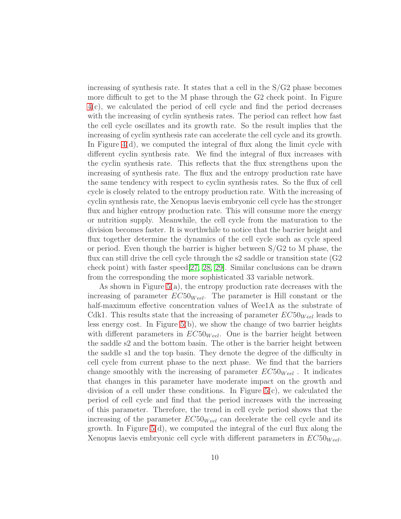increasing of synthesis rate. It states that a cell in the S/G2 phase becomes more difficult to get to the M phase through the G2 check point. In Figure [4\(](#page-8-0)c), we calculated the period of cell cycle and find the period decreases with the increasing of cyclin synthesis rates. The period can reflect how fast the cell cycle oscillates and its growth rate. So the result implies that the increasing of cyclin synthesis rate can accelerate the cell cycle and its growth. In Figure [4\(](#page-8-0)d), we computed the integral of flux along the limit cycle with different cyclin synthesis rate. We find the integral of flux increases with the cyclin synthesis rate. This reflects that the flux strengthens upon the increasing of synthesis rate. The flux and the entropy production rate have the same tendency with respect to cyclin synthesis rates. So the flux of cell cycle is closely related to the entropy production rate. With the increasing of cyclin synthesis rate, the Xenopus laevis embryonic cell cycle has the stronger flux and higher entropy production rate. This will consume more the energy or nutrition supply. Meanwhile, the cell cycle from the maturation to the division becomes faster. It is worthwhile to notice that the barrier height and flux together determine the dynamics of the cell cycle such as cycle speed or period. Even though the barrier is higher between S/G2 to M phase, the flux can still drive the cell cycle through the s2 saddle or transition state  $(G2)$ check point) with faster speed[\[27,](#page-22-5) [28,](#page-22-6) [29\]](#page-22-7). Similar conclusions can be drawn from the corresponding the more sophisticated 33 variable network.

As shown in Figure  $5(a)$ , the entropy production rate decreases with the increasing of parameter  $EC50_{Weel}$ . The parameter is Hill constant or the half-maximum effective concentration values of Wee1A as the substrate of Cdk1. This results state that the increasing of parameter  $EC50_{Weel}$  leads to less energy cost. In Figure [5\(](#page-10-0)b), we show the change of two barrier heights with different parameters in  $EC50_{Weel}$ . One is the barrier height between the saddle s2 and the bottom basin. The other is the barrier height between the saddle s1 and the top basin. They denote the degree of the difficulty in cell cycle from current phase to the next phase. We find that the barriers change smoothly with the increasing of parameter  $EC50_{Weel}$ . It indicates that changes in this parameter have moderate impact on the growth and division of a cell under these conditions. In Figure [5\(](#page-10-0)c), we calculated the period of cell cycle and find that the period increases with the increasing of this parameter. Therefore, the trend in cell cycle period shows that the increasing of the parameter  $EC50_{Weel}$  can decelerate the cell cycle and its growth. In Figure  $5(d)$ , we computed the integral of the curl flux along the Xenopus laevis embryonic cell cycle with different parameters in  $EC50_{Weel}$ .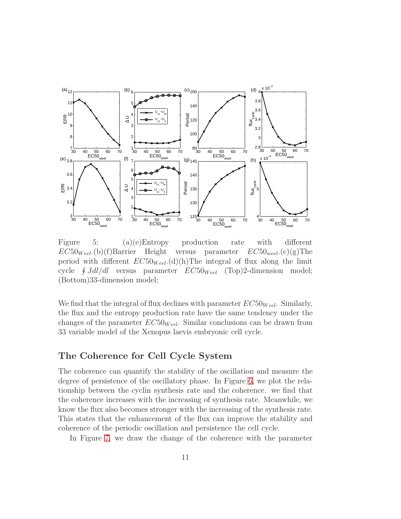

<span id="page-10-0"></span>Figure 5: (a)(e)Entropy production rate with different  $EC50_{Weel}.(b)(f)$ Barrier Height versus parameter  $EC50_{weel}.(c)(g)$ The period with different  $EC50_{Weel}.(d)(h)$ The integral of flux along the limit cycle  $\oint J dl/dl$  versus parameter  $EC50_{Weel}$  (Top)2-dimension model; (Bottom)33-dimension model;

We find that the integral of flux declines with parameter  $EC50_{Weel}$ . Similarly, the flux and the entropy production rate have the same tendency under the changes of the parameter  $EC50_{Weel}$ . Similar conclusions can be drawn from 33 variable model of the Xenopus laevis embryonic cell cycle.

#### The Coherence for Cell Cycle System

The coherence can quantify the stability of the oscillation and measure the degree of persistence of the oscillatory phase. In Figure [6,](#page-11-0) we plot the relationship between the cyclin synthesis rate and the coherence. we find that the coherence increases with the increasing of synthesis rate. Meanwhile, we know the flux also becomes stronger with the increasing of the synthesis rate. This states that the enhancement of the flux can improve the stability and coherence of the periodic oscillation and persistence the cell cycle.

In Figure [7,](#page-11-1) we draw the change of the coherence with the parameter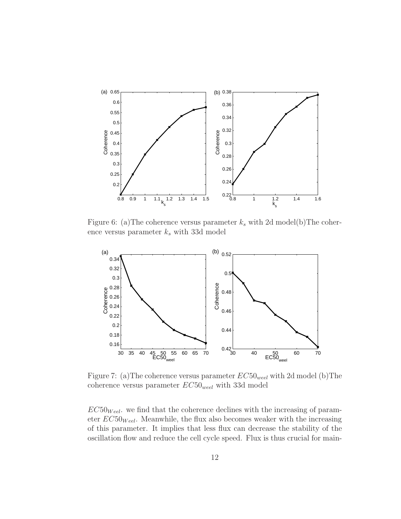

Figure 6: (a) The coherence versus parameter  $k<sub>s</sub>$  with 2d model(b) The coherence versus parameter  $k_s$  with 33d model

<span id="page-11-0"></span>

<span id="page-11-1"></span>Figure 7: (a) The coherence versus parameter  $EC50_{weel}$  with 2d model (b) The coherence versus parameter  $EC50_{weel}$  with 33d model

 $EC50_{Weel}$ , we find that the coherence declines with the increasing of parameter  $EC50_{Weel}$ . Meanwhile, the flux also becomes weaker with the increasing of this parameter. It implies that less flux can decrease the stability of the oscillation flow and reduce the cell cycle speed. Flux is thus crucial for main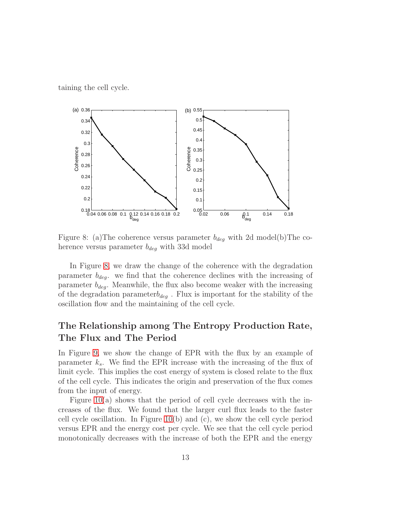taining the cell cycle.



<span id="page-12-0"></span>Figure 8: (a) The coherence versus parameter  $b_{deq}$  with 2d model(b) The coherence versus parameter  $b_{deg}$  with 33d model

In Figure [8,](#page-12-0) we draw the change of the coherence with the degradation parameter  $b_{deg}$ . we find that the coherence declines with the increasing of parameter  $b_{deq}$ . Meanwhile, the flux also become weaker with the increasing of the degradation parameter $b_{deq}$ . Flux is important for the stability of the oscillation flow and the maintaining of the cell cycle.

#### The Relationship among The Entropy Production Rate, The Flux and The Period

In Figure [9,](#page-13-0) we show the change of EPR with the flux by an example of parameter  $k_s$ . We find the EPR increase with the increasing of the flux of limit cycle. This implies the cost energy of system is closed relate to the flux of the cell cycle. This indicates the origin and preservation of the flux comes from the input of energy.

Figure  $10(a)$  shows that the period of cell cycle decreases with the increases of the flux. We found that the larger curl flux leads to the faster cell cycle oscillation. In Figure  $10(b)$  and (c), we show the cell cycle period versus EPR and the energy cost per cycle. We see that the cell cycle period monotonically decreases with the increase of both the EPR and the energy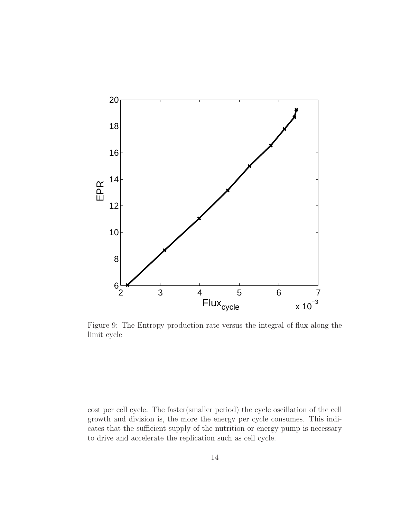

<span id="page-13-0"></span>Figure 9: The Entropy production rate versus the integral of flux along the limit cycle

cost per cell cycle. The faster(smaller period) the cycle oscillation of the cell growth and division is, the more the energy per cycle consumes. This indicates that the sufficient supply of the nutrition or energy pump is necessary to drive and accelerate the replication such as cell cycle.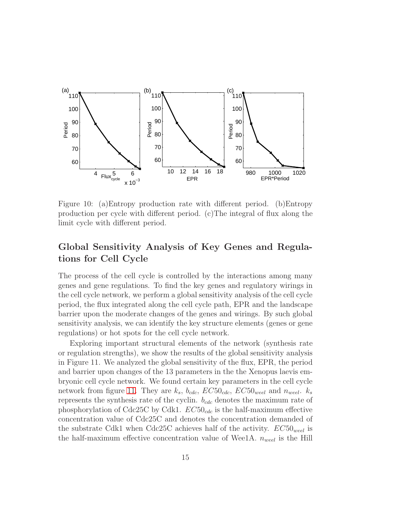

<span id="page-14-0"></span>Figure 10: (a)Entropy production rate with different period. (b)Entropy production per cycle with different period. (c)The integral of flux along the limit cycle with different period.

#### Global Sensitivity Analysis of Key Genes and Regulations for Cell Cycle

The process of the cell cycle is controlled by the interactions among many genes and gene regulations. To find the key genes and regulatory wirings in the cell cycle network, we perform a global sensitivity analysis of the cell cycle period, the flux integrated along the cell cycle path, EPR and the landscape barrier upon the moderate changes of the genes and wirings. By such global sensitivity analysis, we can identify the key structure elements (genes or gene regulations) or hot spots for the cell cycle network.

Exploring important structural elements of the network (synthesis rate or regulation strengths), we show the results of the global sensitivity analysis in Figure 11. We analyzed the global sensitivity of the flux, EPR, the period and barrier upon changes of the 13 parameters in the the Xenopus laevis embryonic cell cycle network. We found certain key parameters in the cell cycle network from figure [11.](#page-15-0) They are  $k_s$ ,  $b_{cdc}$ ,  $EC50_{cdc}$ ,  $EC50_{weel}$  and  $n_{weel}$ .  $k_s$ represents the synthesis rate of the cyclin.  $b_{cdc}$  denotes the maximum rate of phosphorylation of Cdc25C by Cdk1.  $EC50_{cdc}$  is the half-maximum effective concentration value of Cdc25C and denotes the concentration demanded of the substrate Cdk1 when Cdc25C achieves half of the activity.  $EC50_{weel}$  is the half-maximum effective concentration value of Wee1A.  $n_{well}$  is the Hill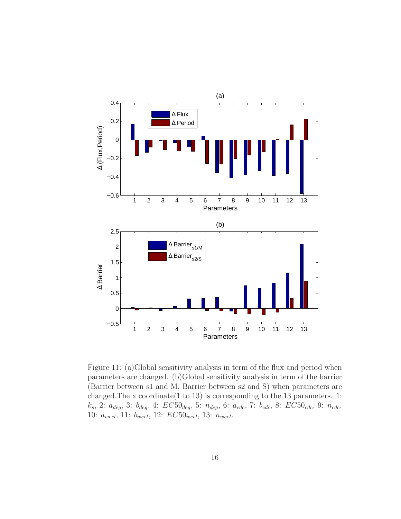

<span id="page-15-0"></span>Figure 11: (a)Global sensitivity analysis in term of the flux and period when parameters are changed. (b)Global sensitivity analysis in term of the barrier (Barrier between s1 and M, Barrier between s2 and S) when parameters are changed.The x coordinate(1 to 13) is corresponding to the 13 parameters. 1:  $k_s$ , 2:  $a_{deg}$ , 3:  $b_{deg}$ , 4:  $EC50_{deg}$ , 5:  $n_{deg}$ , 6:  $a_{cdc}$ , 7:  $b_{cdc}$ , 8:  $EC50_{cdc}$ , 9:  $n_{cdc}$ , 10:  $a_{weel}$ , 11:  $b_{weel}$ , 12:  $EC50_{weel}$ , 13:  $n_{weel}$ .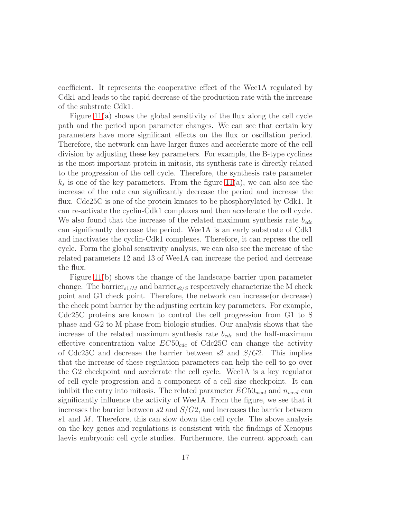coefficient. It represents the cooperative effect of the Wee1A regulated by Cdk1 and leads to the rapid decrease of the production rate with the increase of the substrate Cdk1.

Figure  $11(a)$  shows the global sensitivity of the flux along the cell cycle path and the period upon parameter changes. We can see that certain key parameters have more significant effects on the flux or oscillation period. Therefore, the network can have larger fluxes and accelerate more of the cell division by adjusting these key parameters. For example, the B-type cyclines is the most important protein in mitosis, its synthesis rate is directly related to the progression of the cell cycle. Therefore, the synthesis rate parameter  $k<sub>s</sub>$  is one of the key parameters. From the figure [11\(](#page-15-0)a), we can also see the increase of the rate can significantly decrease the period and increase the flux. Cdc25C is one of the protein kinases to be phosphorylated by Cdk1. It can re-activate the cyclin-Cdk1 complexes and then accelerate the cell cycle. We also found that the increase of the related maximum synthesis rate  $b_{cdc}$ can significantly decrease the period. Wee1A is an early substrate of Cdk1 and inactivates the cyclin-Cdk1 complexes. Therefore, it can repress the cell cycle. Form the global sensitivity analysis, we can also see the increase of the related parameters 12 and 13 of Wee1A can increase the period and decrease the flux.

Figure [11\(](#page-15-0)b) shows the change of the landscape barrier upon parameter change. The barrier<sub>s1/M</sub> and barrier<sub>s2/S</sub> respectively characterize the M check point and G1 check point. Therefore, the network can increase(or decrease) the check point barrier by the adjusting certain key parameters. For example, Cdc25C proteins are known to control the cell progression from G1 to S phase and G2 to M phase from biologic studies. Our analysis shows that the increase of the related maximum synthesis rate  $b_{cdc}$  and the half-maximum effective concentration value  $EC50_{cdc}$  of Cdc25C can change the activity of Cdc25C and decrease the barrier between s2 and  $S/G2$ . This implies that the increase of these regulation parameters can help the cell to go over the G2 checkpoint and accelerate the cell cycle. Wee1A is a key regulator of cell cycle progression and a component of a cell size checkpoint. It can inhibit the entry into mitosis. The related parameter  $EC50_{weel}$  and  $n_{weel}$  can significantly influence the activity of Wee1A. From the figure, we see that it increases the barrier between  $s2$  and  $S/G2$ , and increases the barrier between  $s1$  and M. Therefore, this can slow down the cell cycle. The above analysis on the key genes and regulations is consistent with the findings of Xenopus laevis embryonic cell cycle studies. Furthermore, the current approach can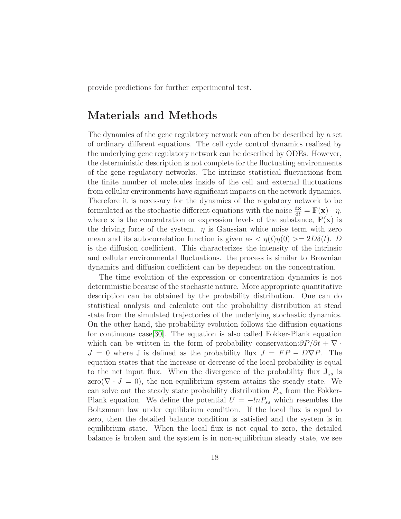provide predictions for further experimental test.

# Materials and Methods

The dynamics of the gene regulatory network can often be described by a set of ordinary different equations. The cell cycle control dynamics realized by the underlying gene regulatory network can be described by ODEs. However, the deterministic description is not complete for the fluctuating environments of the gene regulatory networks. The intrinsic statistical fluctuations from the finite number of molecules inside of the cell and external fluctuations from cellular environments have significant impacts on the network dynamics. Therefore it is necessary for the dynamics of the regulatory network to be formulated as the stochastic different equations with the noise  $\frac{d\mathbf{x}}{dt} = \mathbf{F}(\mathbf{x}) + \eta$ , where **x** is the concentration or expression levels of the substance,  $F(x)$  is the driving force of the system.  $\eta$  is Gaussian white noise term with zero mean and its autocorrelation function is given as  $\langle \eta(t)\eta(0)\rangle = 2D\delta(t)$ . D is the diffusion coefficient. This characterizes the intensity of the intrinsic and cellular environmental fluctuations. the process is similar to Brownian dynamics and diffusion coefficient can be dependent on the concentration.

The time evolution of the expression or concentration dynamics is not deterministic because of the stochastic nature. More appropriate quantitative description can be obtained by the probability distribution. One can do statistical analysis and calculate out the probability distribution at stead state from the simulated trajectories of the underlying stochastic dynamics. On the other hand, the probability evolution follows the diffusion equations for continuous case[\[30\]](#page-22-8). The equation is also called Fokker-Plank equation which can be written in the form of probability conservation: $\frac{\partial P}{\partial t} + \nabla \cdot$  $J = 0$  where J is defined as the probability flux  $J = FP - D\nabla P$ . The equation states that the increase or decrease of the local probability is equal to the net input flux. When the divergence of the probability flux  $J_{ss}$  is zero( $\nabla \cdot J = 0$ ), the non-equilibrium system attains the steady state. We can solve out the steady state probability distribution  $P_{ss}$  from the Fokker-Plank equation. We define the potential  $U = -\ln P_{ss}$  which resembles the Boltzmann law under equilibrium condition. If the local flux is equal to zero, then the detailed balance condition is satisfied and the system is in equilibrium state. When the local flux is not equal to zero, the detailed balance is broken and the system is in non-equilibrium steady state, we see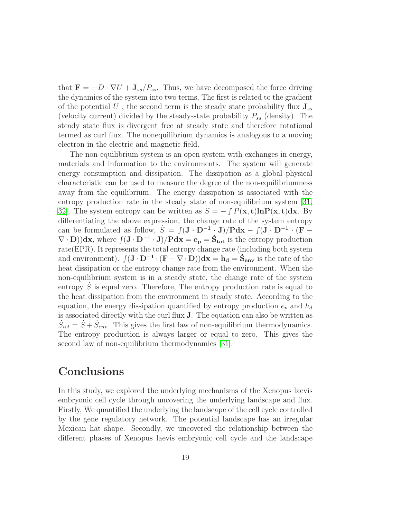that  $\mathbf{F} = -D \cdot \nabla U + \mathbf{J}_{ss}/P_{ss}$ . Thus, we have decomposed the force driving the dynamics of the system into two terms, The first is related to the gradient of the potential U, the second term is the steady state probability flux  $\mathbf{J}_{ss}$ (velocity current) divided by the steady-state probability  $P_{ss}$  (density). The steady state flux is divergent free at steady state and therefore rotational termed as curl flux. The nonequilibrium dynamics is analogous to a moving electron in the electric and magnetic field.

The non-equilibrium system is an open system with exchanges in energy, materials and information to the environments. The system will generate energy consumption and dissipation. The dissipation as a global physical characteristic can be used to measure the degree of the non-equilibriumness away from the equilibrium. The energy dissipation is associated with the entropy production rate in the steady state of non-equilibrium system [\[31,](#page-22-9) 32. The system entropy can be written as  $S = -\int P(\mathbf{x}, \mathbf{t}) \ln P(\mathbf{x}, \mathbf{t}) d\mathbf{x}$ . By differentiating the above expression, the change rate of the system entropy can be formulated as follow,  $\dot{S} = \int (\mathbf{J} \cdot \mathbf{D}^{-1} \cdot \mathbf{J}) / \mathbf{P} d\mathbf{x} - \int (\mathbf{J} \cdot \mathbf{D}^{-1} \cdot (\mathbf{F} (\nabla \cdot \mathbf{D})\mathbf{dx}$ , where  $\int (\mathbf{J} \cdot \mathbf{D}^{-1} \cdot \mathbf{J})/\mathbf{Pdx} = \mathbf{e_p} = \dot{\mathbf{S}}_{\text{tot}}$  is the entropy production rate(EPR). It represents the total entropy change rate (including both system and environment).  $\int (J \cdot D^{-1} \cdot (F - \nabla \cdot D))dx = h_d = \dot{S}_{env}$  is the rate of the heat dissipation or the entropy change rate from the environment. When the non-equilibrium system is in a steady state, the change rate of the system entropy  $\dot{S}$  is equal zero. Therefore, The entropy production rate is equal to the heat dissipation from the environment in steady state. According to the equation, the energy dissipation quantified by entropy production  $e_p$  and  $h_d$ is associated directly with the curl flux J. The equation can also be written as  $\dot{S}_{tot} = \dot{S} + \dot{S}_{env}$ . This gives the first law of non-equilibrium thermodynamics. The entropy production is always larger or equal to zero. This gives the second law of non-equilibrium thermodynamics [\[31\]](#page-22-9).

#### Conclusions

In this study, we explored the underlying mechanisms of the Xenopus laevis embryonic cell cycle through uncovering the underlying landscape and flux. Firstly, We quantified the underlying the landscape of the cell cycle controlled by the gene regulatory network. The potential landscape has an irregular Mexican hat shape. Secondly, we uncovered the relationship between the different phases of Xenopus laevis embryonic cell cycle and the landscape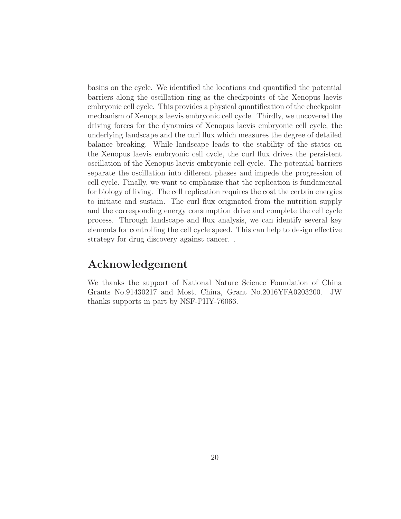basins on the cycle. We identified the locations and quantified the potential barriers along the oscillation ring as the checkpoints of the Xenopus laevis embryonic cell cycle. This provides a physical quantification of the checkpoint mechanism of Xenopus laevis embryonic cell cycle. Thirdly, we uncovered the driving forces for the dynamics of Xenopus laevis embryonic cell cycle, the underlying landscape and the curl flux which measures the degree of detailed balance breaking. While landscape leads to the stability of the states on the Xenopus laevis embryonic cell cycle, the curl flux drives the persistent oscillation of the Xenopus laevis embryonic cell cycle. The potential barriers separate the oscillation into different phases and impede the progression of cell cycle. Finally, we want to emphasize that the replication is fundamental for biology of living. The cell replication requires the cost the certain energies to initiate and sustain. The curl flux originated from the nutrition supply and the corresponding energy consumption drive and complete the cell cycle process. Through landscape and flux analysis, we can identify several key elements for controlling the cell cycle speed. This can help to design effective strategy for drug discovery against cancer. .

## Acknowledgement

We thanks the support of National Nature Science Foundation of China Grants No.91430217 and Most, China, Grant No.2016YFA0203200. JW thanks supports in part by NSF-PHY-76066.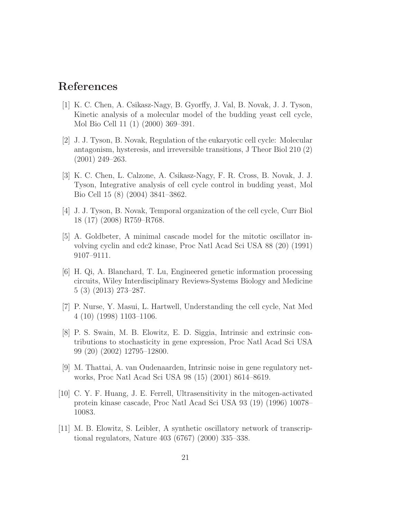## <span id="page-20-0"></span>References

- [1] K. C. Chen, A. Csikasz-Nagy, B. Gyorffy, J. Val, B. Novak, J. J. Tyson, Kinetic analysis of a molecular model of the budding yeast cell cycle, Mol Bio Cell 11 (1) (2000) 369–391.
- <span id="page-20-1"></span>[2] J. J. Tyson, B. Novak, Regulation of the eukaryotic cell cycle: Molecular antagonism, hysteresis, and irreversible transitions, J Theor Biol 210 (2) (2001) 249–263.
- <span id="page-20-2"></span>[3] K. C. Chen, L. Calzone, A. Csikasz-Nagy, F. R. Cross, B. Novak, J. J. Tyson, Integrative analysis of cell cycle control in budding yeast, Mol Bio Cell 15 (8) (2004) 3841–3862.
- <span id="page-20-4"></span><span id="page-20-3"></span>[4] J. J. Tyson, B. Novak, Temporal organization of the cell cycle, Curr Biol 18 (17) (2008) R759–R768.
- [5] A. Goldbeter, A minimal cascade model for the mitotic oscillator involving cyclin and cdc2 kinase, Proc Natl Acad Sci USA 88 (20) (1991) 9107–9111.
- <span id="page-20-5"></span>[6] H. Qi, A. Blanchard, T. Lu, Engineered genetic information processing circuits, Wiley Interdisciplinary Reviews-Systems Biology and Medicine 5 (3) (2013) 273–287.
- <span id="page-20-6"></span>[7] P. Nurse, Y. Masui, L. Hartwell, Understanding the cell cycle, Nat Med 4 (10) (1998) 1103–1106.
- <span id="page-20-7"></span>[8] P. S. Swain, M. B. Elowitz, E. D. Siggia, Intrinsic and extrinsic contributions to stochasticity in gene expression, Proc Natl Acad Sci USA 99 (20) (2002) 12795–12800.
- <span id="page-20-8"></span>[9] M. Thattai, A. van Oudenaarden, Intrinsic noise in gene regulatory networks, Proc Natl Acad Sci USA 98 (15) (2001) 8614–8619.
- <span id="page-20-9"></span>[10] C. Y. F. Huang, J. E. Ferrell, Ultrasensitivity in the mitogen-activated protein kinase cascade, Proc Natl Acad Sci USA 93 (19) (1996) 10078– 10083.
- <span id="page-20-10"></span>[11] M. B. Elowitz, S. Leibler, A synthetic oscillatory network of transcriptional regulators, Nature 403 (6767) (2000) 335–338.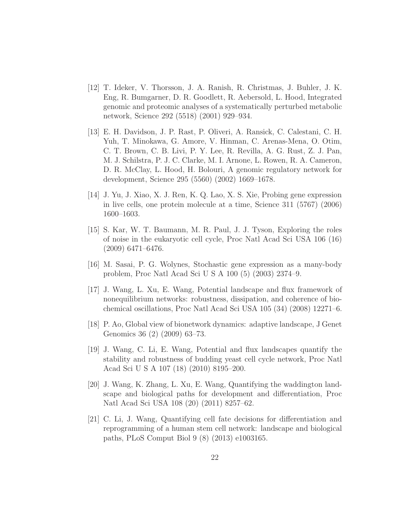- <span id="page-21-0"></span>[12] T. Ideker, V. Thorsson, J. A. Ranish, R. Christmas, J. Buhler, J. K. Eng, R. Bumgarner, D. R. Goodlett, R. Aebersold, L. Hood, Integrated genomic and proteomic analyses of a systematically perturbed metabolic network, Science 292 (5518) (2001) 929–934.
- <span id="page-21-1"></span>[13] E. H. Davidson, J. P. Rast, P. Oliveri, A. Ransick, C. Calestani, C. H. Yuh, T. Minokawa, G. Amore, V. Hinman, C. Arenas-Mena, O. Otim, C. T. Brown, C. B. Livi, P. Y. Lee, R. Revilla, A. G. Rust, Z. J. Pan, M. J. Schilstra, P. J. C. Clarke, M. I. Arnone, L. Rowen, R. A. Cameron, D. R. McClay, L. Hood, H. Bolouri, A genomic regulatory network for development, Science 295 (5560) (2002) 1669–1678.
- <span id="page-21-2"></span>[14] J. Yu, J. Xiao, X. J. Ren, K. Q. Lao, X. S. Xie, Probing gene expression in live cells, one protein molecule at a time, Science 311 (5767) (2006) 1600–1603.
- <span id="page-21-3"></span>[15] S. Kar, W. T. Baumann, M. R. Paul, J. J. Tyson, Exploring the roles of noise in the eukaryotic cell cycle, Proc Natl Acad Sci USA 106 (16) (2009) 6471–6476.
- <span id="page-21-5"></span><span id="page-21-4"></span>[16] M. Sasai, P. G. Wolynes, Stochastic gene expression as a many-body problem, Proc Natl Acad Sci U S A 100 (5) (2003) 2374–9.
- [17] J. Wang, L. Xu, E. Wang, Potential landscape and flux framework of nonequilibrium networks: robustness, dissipation, and coherence of biochemical oscillations, Proc Natl Acad Sci USA 105 (34) (2008) 12271–6.
- <span id="page-21-6"></span>[18] P. Ao, Global view of bionetwork dynamics: adaptive landscape, J Genet Genomics 36 (2) (2009) 63–73.
- <span id="page-21-7"></span>[19] J. Wang, C. Li, E. Wang, Potential and flux landscapes quantify the stability and robustness of budding yeast cell cycle network, Proc Natl Acad Sci U S A 107 (18) (2010) 8195–200.
- <span id="page-21-8"></span>[20] J. Wang, K. Zhang, L. Xu, E. Wang, Quantifying the waddington landscape and biological paths for development and differentiation, Proc Natl Acad Sci USA 108 (20) (2011) 8257–62.
- <span id="page-21-9"></span>[21] C. Li, J. Wang, Quantifying cell fate decisions for differentiation and reprogramming of a human stem cell network: landscape and biological paths, PLoS Comput Biol 9 (8) (2013) e1003165.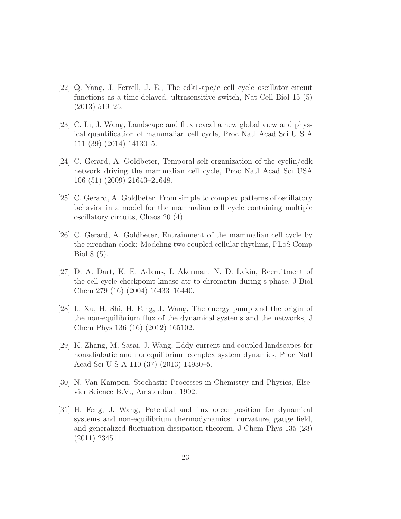- <span id="page-22-0"></span>[22] Q. Yang, J. Ferrell, J. E., The cdk1-apc/c cell cycle oscillator circuit functions as a time-delayed, ultrasensitive switch, Nat Cell Biol 15 (5) (2013) 519–25.
- <span id="page-22-1"></span>[23] C. Li, J. Wang, Landscape and flux reveal a new global view and physical quantification of mammalian cell cycle, Proc Natl Acad Sci U S A 111 (39) (2014) 14130–5.
- <span id="page-22-2"></span>[24] C. Gerard, A. Goldbeter, Temporal self-organization of the cyclin/cdk network driving the mammalian cell cycle, Proc Natl Acad Sci USA 106 (51) (2009) 21643–21648.
- <span id="page-22-3"></span>[25] C. Gerard, A. Goldbeter, From simple to complex patterns of oscillatory behavior in a model for the mammalian cell cycle containing multiple oscillatory circuits, Chaos 20 (4).
- <span id="page-22-4"></span>[26] C. Gerard, A. Goldbeter, Entrainment of the mammalian cell cycle by the circadian clock: Modeling two coupled cellular rhythms, PLoS Comp Biol 8 (5).
- <span id="page-22-5"></span>[27] D. A. Dart, K. E. Adams, I. Akerman, N. D. Lakin, Recruitment of the cell cycle checkpoint kinase atr to chromatin during s-phase, J Biol Chem 279 (16) (2004) 16433–16440.
- <span id="page-22-6"></span>[28] L. Xu, H. Shi, H. Feng, J. Wang, The energy pump and the origin of the non-equilibrium flux of the dynamical systems and the networks, J Chem Phys 136 (16) (2012) 165102.
- <span id="page-22-7"></span>[29] K. Zhang, M. Sasai, J. Wang, Eddy current and coupled landscapes for nonadiabatic and nonequilibrium complex system dynamics, Proc Natl Acad Sci U S A 110 (37) (2013) 14930–5.
- <span id="page-22-9"></span><span id="page-22-8"></span>[30] N. Van Kampen, Stochastic Processes in Chemistry and Physics, Elsevier Science B.V., Amsterdam, 1992.
- [31] H. Feng, J. Wang, Potential and flux decomposition for dynamical systems and non-equilibrium thermodynamics: curvature, gauge field, and generalized fluctuation-dissipation theorem, J Chem Phys 135 (23) (2011) 234511.